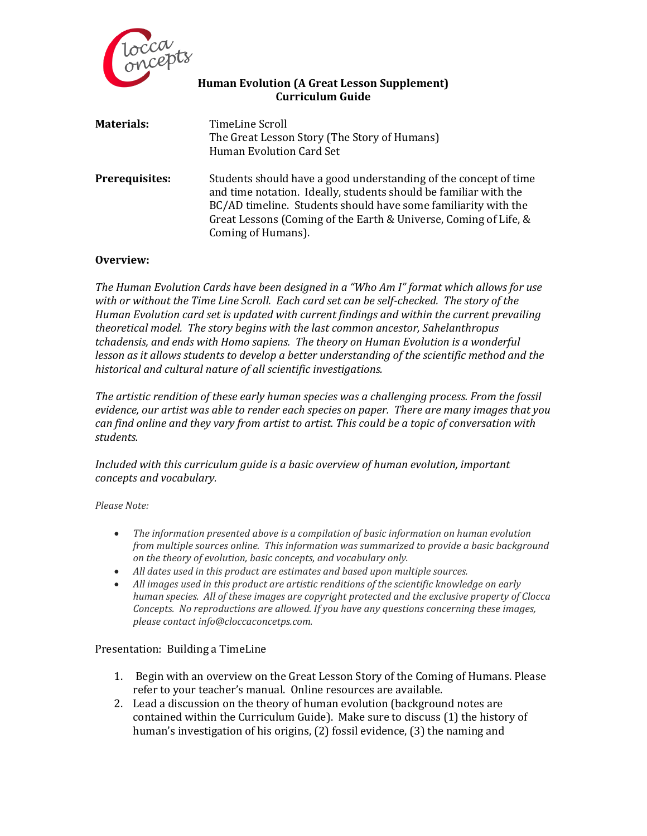

### **Human Evolution (A Great Lesson Supplement) Curriculum Guide**

| <b>Materials:</b>     | TimeLine Scroll<br>The Great Lesson Story (The Story of Humans)<br>Human Evolution Card Set                                                                                                                                                                                                      |
|-----------------------|--------------------------------------------------------------------------------------------------------------------------------------------------------------------------------------------------------------------------------------------------------------------------------------------------|
| <b>Prerequisites:</b> | Students should have a good understanding of the concept of time<br>and time notation. Ideally, students should be familiar with the<br>BC/AD timeline. Students should have some familiarity with the<br>Great Lessons (Coming of the Earth & Universe, Coming of Life, &<br>Coming of Humans). |

#### **Overview:**

*The Human Evolution Cards have been designed in a "Who Am I" format which allows for use with or without the Time Line Scroll. Each card set can be self-checked. The story of the Human Evolution card set is updated with current findings and within the current prevailing theoretical model. The story begins with the last common ancestor, Sahelanthropus tchadensis, and ends with Homo sapiens. The theory on Human Evolution is a wonderful lesson as it allows students to develop a better understanding of the scientific method and the historical and cultural nature of all scientific investigations.* 

*The artistic rendition of these early human species was a challenging process. From the fossil evidence, our artist was able to render each species on paper. There are many images that you can find online and they vary from artist to artist. This could be a topic of conversation with students.*

*Included with this curriculum guide is a basic overview of human evolution, important concepts and vocabulary.* 

*Please Note:*

- *The information presented above is a compilation of basic information on human evolution from multiple sources online. This information was summarized to provide a basic background on the theory of evolution, basic concepts, and vocabulary only.*
- *All dates used in this product are estimates and based upon multiple sources.*
- *All images used in this product are artistic renditions of the scientific knowledge on early human species. All of these images are copyright protected and the exclusive property of Clocca Concepts. No reproductions are allowed. If you have any questions concerning these images, please contact info@cloccaconcetps.com.*

#### Presentation: Building a TimeLine

- 1. Begin with an overview on the Great Lesson Story of the Coming of Humans. Please refer to your teacher's manual. Online resources are available.
- 2. Lead a discussion on the theory of human evolution (background notes are contained within the Curriculum Guide). Make sure to discuss (1) the history of human's investigation of his origins, (2) fossil evidence, (3) the naming and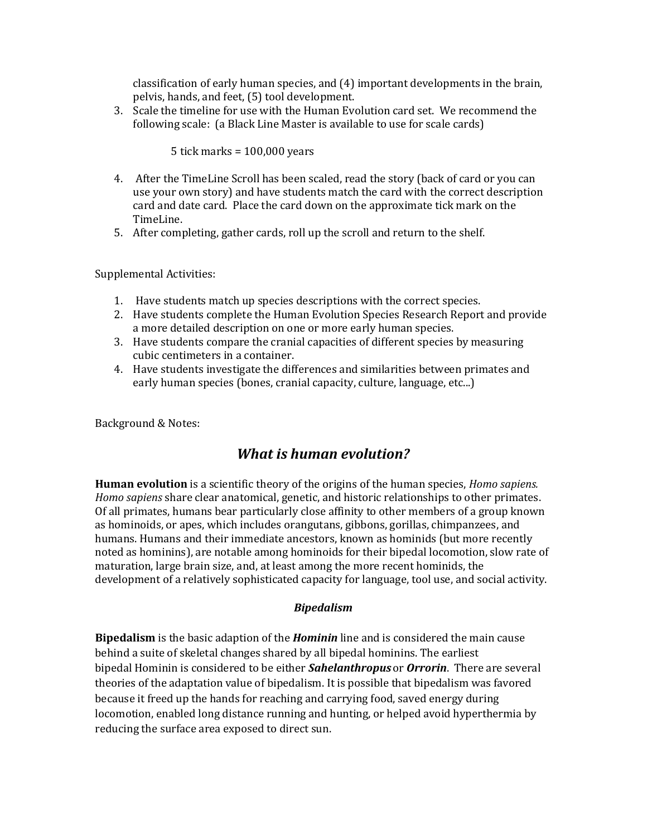classification of early human species, and (4) important developments in the brain, pelvis, hands, and feet, (5) tool development.

3. Scale the timeline for use with the Human Evolution card set. We recommend the following scale: (a Black Line Master is available to use for scale cards)

5 tick marks = 100,000 years

- 4. After the TimeLine Scroll has been scaled, read the story (back of card or you can use your own story) and have students match the card with the correct description card and date card. Place the card down on the approximate tick mark on the TimeLine.
- 5. After completing, gather cards, roll up the scroll and return to the shelf.

Supplemental Activities:

- 1. Have students match up species descriptions with the correct species.
- 2. Have students complete the Human Evolution Species Research Report and provide a more detailed description on one or more early human species.
- 3. Have students compare the cranial capacities of different species by measuring cubic centimeters in a container.
- 4. Have students investigate the differences and similarities between primates and early human species (bones, cranial capacity, culture, language, etc...)

Background & Notes:

## *What is human evolution?*

**Human evolution** is a scientific theory of the origins of the human species, *Homo sapiens. Homo sapiens* share clear anatomical, genetic, and historic relationships to othe[r primates.](http://encyclopedia2.thefreedictionary.com/primate) Of all primates, humans bear particularly close affinity to other members of a group known as hominoids, or [apes,](http://encyclopedia2.thefreedictionary.com/ape) which includes [orangutans,](http://encyclopedia2.thefreedictionary.com/orangutan) [gibbons,](http://encyclopedia2.thefreedictionary.com/gibbon) [gorillas,](http://encyclopedia2.thefreedictionary.com/gorilla) [chimpanzees,](http://encyclopedia2.thefreedictionary.com/chimpanzee) and humans. Humans and their immediate ancestors, known as hominids (but more recently noted as hominins), are notable among hominoids for their bipedal locomotion, slow rate of maturation, large brain size, and, at least among the more recent hominids, the development of a relatively sophisticated capacity for language, tool use, and social activity.

### *Bipedalism*

**[Bipedalism](http://en.wikipedia.org/wiki/Bipedal)** is the basic adaption of the *Hominin* line and is considered the main cause behind a suite of [skeletal changes](http://en.wikipedia.org/wiki/Human_skeletal_changes_due_to_bipedalism) shared by all bipedal hominins. The earliest bipedal [Hominin](http://en.wikipedia.org/wiki/Hominini) is considered to be either *Sahelanthropus* or *[Orrorin](http://en.wikipedia.org/wiki/Orrorin)*. There are several theories of the adaptation value of bipedalism. It is possible that bipedalism was favored because it freed up the hands for reaching and carrying food, saved energy during locomotion, enabled long distance running and hunting, or helped avoid hyperthermia by reducing the surface area exposed to direct sun.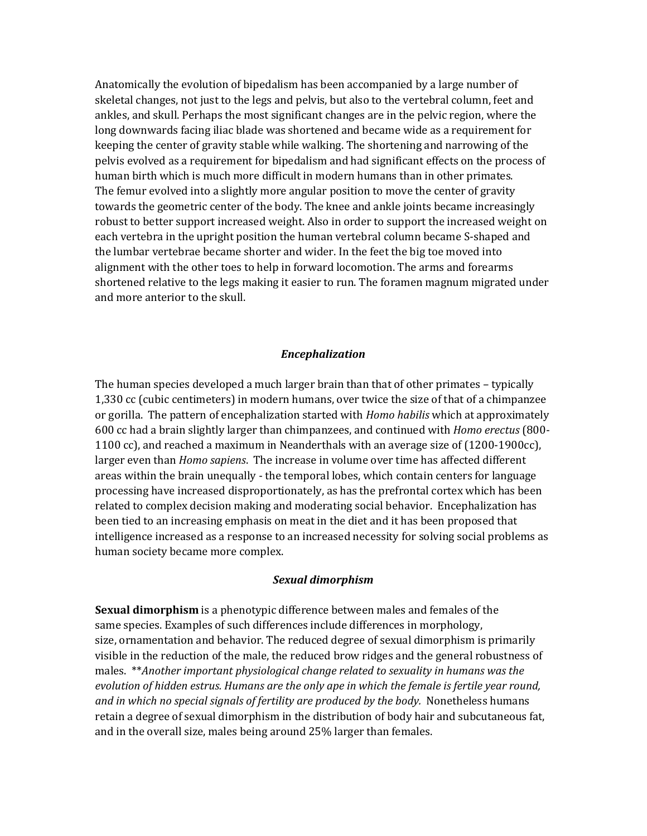Anatomically the evolution of bipedalism has been accompanied by a [large number of](http://en.wikipedia.org/wiki/Human_skeletal_changes_due_to_bipedalism)  [skeletal changes,](http://en.wikipedia.org/wiki/Human_skeletal_changes_due_to_bipedalism) not just to the legs and pelvis, but also to the [vertebral column,](http://en.wikipedia.org/wiki/Human_vertebral_column) feet and ankles, and skull. Perhaps the most significant changes are in the pelvic region, where the long downwards facing [iliac blade](http://en.wikipedia.org/wiki/Ilium) was shortened and became wide as a requirement for keeping the center of gravity stable while walking. The shortening and narrowing of the pelvis evolved as a requirement for bipedalism and had significant effects on the process of human birth which is much more difficult in modern humans than in other primates. The [femur](http://en.wikipedia.org/wiki/Femur) evolved into a slightly more angular position to move the center of gravity towards the geometric center of the body. The knee and ankle joints became increasingly robust to better support increased weight. Also in order to support the increased weight on each vertebra in the upright position the human vertebral column became S-shaped and the [lumbar vertebrae](http://en.wikipedia.org/wiki/Lumbar_vertebrae) became shorter and wider. In the feet the big toe moved into alignment with the other toes to help in forward locomotion. The arms and forearms shortened relative to the legs making it easier to run. The foramen magnum migrated under and more anterior to the skull.

#### *Encephalization*

The human species developed a much larger brain than that of other primates – typically 1,330 [cc](http://en.wikipedia.org/wiki/Cubic_centimetres) (cubic centimeters) in modern humans, over twice the size of that of a chimpanzee or gorilla. The pattern of [encephalization](http://en.wikipedia.org/wiki/Encephalization) started with *Homo habilis* which at approximately 600 cc had a brain slightly larger than chimpanzees, and continued with *Homo erectus* (800- 1100 cc), and reached a maximum in Neanderthals with an average size of (1200-1900cc), larger even than *Homo sapiens*. The increase in volume over time has affected different areas within the brain unequally - the [temporal lobes,](http://en.wikipedia.org/wiki/Temporal_lobe) which contain centers for language processing have increased disproportionately, as has the [prefrontal cortex](http://en.wikipedia.org/wiki/Prefrontal_cortex) which has been related to complex decision making and moderating social behavior. Encephalization has been tied to an increasing emphasis on meat in the diet and it has been proposed that intelligence increased as a response to an increased necessity for [solving social problems](http://en.wikipedia.org/wiki/Social_brain_hypothesis) as human society became more complex.

#### *Sexual dimorphism*

**Sexual dimorphism** is a [phenotypic](http://en.wikipedia.org/wiki/Phenotype) difference between males and females of the same [species.](http://en.wikipedia.org/wiki/Species) Examples of such differences include differences in [morphology,](http://en.wikipedia.org/wiki/Morphology_(biology)) size, [ornamentation](http://en.wikipedia.org/wiki/Biological_ornament) and [behavior.](http://en.wikipedia.org/wiki/Behaviour) The reduced degree of sexual dimorphism is primarily visible in the reduction of the male, the reduced brow ridges and the general robustness of males. \*\**Another important physiological change related to sexuality in humans was the evolution of [hidden estrus.](http://en.wikipedia.org/wiki/Hidden_estrus) Humans are the only ape in which the female is fertile year round, and in which no special signals of fertility are produced by the body.* Nonetheless humans retain a degree of sexual dimorphism in the distribution of body hair and subcutaneous fat, and in the overall size, males being around 25% larger than females.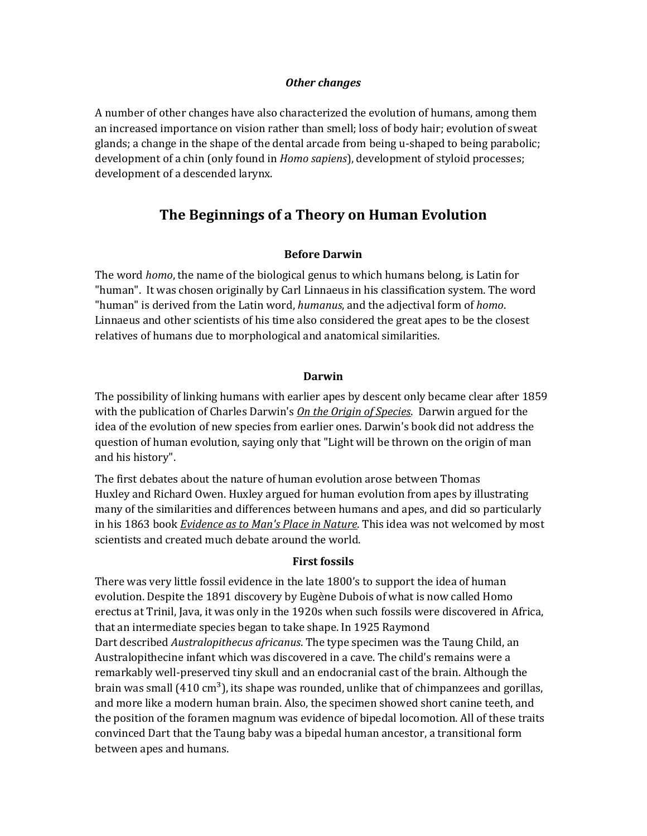#### *Other changes*

A number of other changes have also characterized the evolution of humans, among them an increased importance on vision rather than smell; loss of body hair; evolution of sweat glands; a change in the shape of the dental arcade from being u-shaped to being parabolic; development of a chin (only found in *Homo sapiens*), development of [styloid processes;](http://en.wikipedia.org/wiki/Temporal_styloid_process) development of a [descended larynx.](http://en.wikipedia.org/wiki/Larynx#Descended_larynx)

## **The Beginnings of a Theory on Human Evolution**

#### **Before Darwin**

The word *homo*, the name of the biological genus to which humans belong, is [Latin](http://en.wikipedia.org/wiki/Latin) for "human". It was chosen originally by Carl [Linnaeus](http://en.wikipedia.org/wiki/Carl_Linnaeus) in his classification system. The word "human" is derived from the Latin word, *humanus*, and the adjectival form of *homo*. Linnaeus and other scientists of his time also considered the [great apes](http://en.wikipedia.org/wiki/Great_ape) to be the closest relatives of humans due to [morphological](http://en.wikipedia.org/wiki/Morphology_(biology)) and [anatomical](http://en.wikipedia.org/wiki/Anatomy) similarities.

#### **Darwin**

The possibility of linking humans with earlier apes by descent only became clear after 1859 with the publication of [Charles Darwin'](http://en.wikipedia.org/wiki/Charles_Darwin)s *[On the Origin of Species](http://en.wikipedia.org/wiki/On_the_Origin_of_Species)*. Darwin argued for the idea of the evolution of new species from earlier ones. Darwin's book did not address the question of human evolution, saying only that "Light will be thrown on the origin of man and his history".

The first debates about the nature of human evolution arose between [Thomas](http://en.wikipedia.org/wiki/Thomas_Henry_Huxley)  [Huxley](http://en.wikipedia.org/wiki/Thomas_Henry_Huxley) and [Richard Owen.](http://en.wikipedia.org/wiki/Richard_Owen) Huxley argued for human evolution from apes by illustrating many of the similarities and differences between humans and apes, and did so particularly in his 1863 book *[Evidence as to Man's Place in Nature](http://en.wikipedia.org/wiki/Evidence_as_to_Man%27s_Place_in_Nature)*. This idea was not welcomed by most scientists and created much debate around the world.

#### **First fossils**

There was very little fossil evidence in the late 1800's to support the idea of human evolution. Despite the 1891 discovery by [Eugène Dubois](http://en.wikipedia.org/wiki/Eug%C3%A8ne_Dubois) of what is now called [Homo](http://en.wikipedia.org/wiki/Homo_erectus)  [erectus](http://en.wikipedia.org/wiki/Homo_erectus) at [Trinil,](http://en.wikipedia.org/wiki/Trinil) Java, it was only in the 1920s when such [fossils](http://en.wikipedia.org/wiki/Fossil) were discovered in Africa, that an [intermediate species](http://en.wikipedia.org/wiki/Intermediate_species) began to take shape. In 1925 [Raymond](http://en.wikipedia.org/wiki/Raymond_Dart)  [Dart](http://en.wikipedia.org/wiki/Raymond_Dart) described *[Australopithecus africanus](http://en.wikipedia.org/wiki/Australopithecus_africanus)*. The [type specimen](http://en.wikipedia.org/wiki/Type_specimen) was the [Taung Child,](http://en.wikipedia.org/wiki/Taung_Child) an Australopithecine infant which was discovered in a cave. The child's remains were a remarkably well-preserved tiny skull and an [endocranial cast](http://en.wikipedia.org/wiki/Endocast) of the brain. Although the brain was small  $(410 \text{ cm}^3)$ , its shape was rounded, unlike that of chimpanzees and gorillas, and more like a modern human brain. Also, the specimen showed short [canine teeth,](http://en.wikipedia.org/wiki/Canine_tooth) and the position of the [foramen magnum](http://en.wikipedia.org/wiki/Foramen_magnum) was evidence of [bipedal](http://en.wikipedia.org/wiki/Bipedal) locomotion. All of these traits convinced Dart that the Taung baby was a bipedal human ancestor, a transitional form between apes and humans.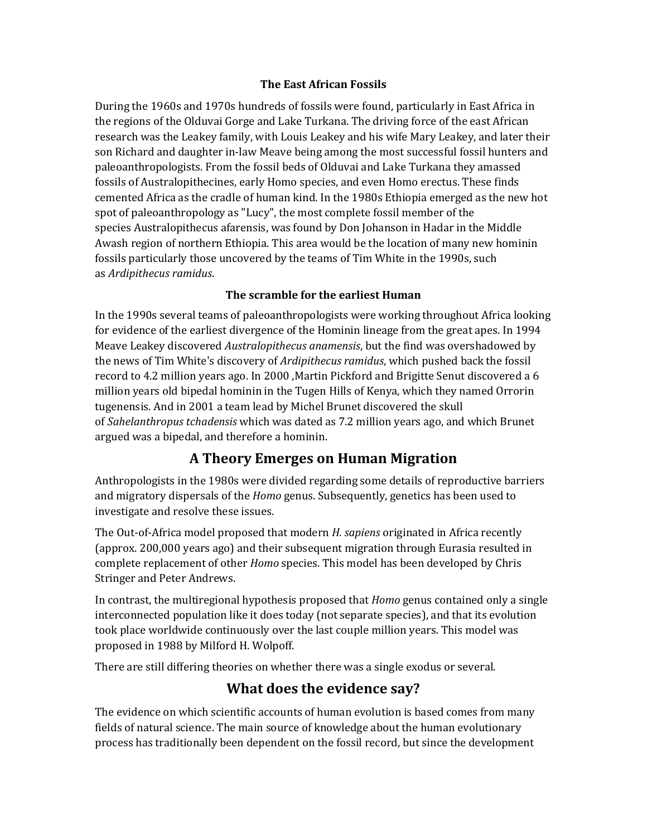### **The East African Fossils**

During the 1960s and 1970s hundreds of fossils were found, particularly in East Africa in the regions of the [Olduvai Gorge](http://en.wikipedia.org/wiki/Olduvai_gorge) and [Lake Turkana.](http://en.wikipedia.org/wiki/Lake_Turkana) The driving force of the east African research was the Leakey family, with [Louis Leakey](http://en.wikipedia.org/wiki/Louis_Leakey) and his wife [Mary Leakey,](http://en.wikipedia.org/wiki/Mary_Leakey) and later their son [Richard](http://en.wikipedia.org/wiki/Richard_Leakey) and daughter in-law [Meave](http://en.wikipedia.org/wiki/Meave_Leakey) being among the most successful fossil hunters and paleoanthropologists. From the fossil beds of Olduvai and Lake Turkana they amassed fossils of Australopithecines, early Homo species, and even Homo erectus. These finds cemented Africa as the cradle of human kind. In the 1980s Ethiopia emerged as the new hot spot of paleoanthropology as ["Lucy",](http://en.wikipedia.org/wiki/Lucy_(Australopithecus)) the most complete fossil member of the species [Australopithecus afarensis,](http://en.wikipedia.org/wiki/Australopithecus_afarensis) was found by Don Johanson in [Hadar](http://en.wikipedia.org/wiki/Hadar) in the [Middle](http://en.wikipedia.org/wiki/Middle_Awash)  [Awash](http://en.wikipedia.org/wiki/Middle_Awash) region of northern Ethiopia. This area would be the location of many new hominin fossils particularly those uncovered by the teams of [Tim White](http://en.wikipedia.org/wiki/Tim_White) in the 1990s, such as *[Ardipithecus ramidus](http://en.wikipedia.org/wiki/Ardipithecus_ramidus)*.

### **The scramble for the earliest Human**

In the 1990s several teams of paleoanthropologists were working throughout Africa looking for evidence of the earliest divergence of the Hominin lineage from the great apes. In 1994 Meave Leakey discovered *[Australopithecus anamensis](http://en.wikipedia.org/wiki/Australopithecus_anamensis)*, but the find was overshadowed by the news of [Tim White'](http://en.wikipedia.org/wiki/Tim_White)s discovery of *[Ardipithecus ramidus](http://en.wikipedia.org/wiki/Ardipithecus_ramidus)*, which pushed back the fossil record to [4.2](http://toolserver.org/~verisimilus/Timeline/Timeline.php?Ma=4.2) million years ago. In 2000 [,Martin Pickford](http://en.wikipedia.org/wiki/Martin_Pickford) and [Brigitte Senut](http://en.wikipedia.org/w/index.php?title=Brigitte_Senut&action=edit&redlink=1) discovered a 6 million years old bipedal hominin in the [Tugen Hills](http://en.wikipedia.org/wiki/Tugen_Hills) of Kenya, which they named [Orrorin](http://en.wikipedia.org/wiki/Orrorin_tugenensis)  [tugenensis.](http://en.wikipedia.org/wiki/Orrorin_tugenensis) And in 2001 a team lead by [Michel Brunet](http://en.wikipedia.org/wiki/Michel_Brunet) discovered the skull of *[Sahelanthropus tchadensis](http://en.wikipedia.org/wiki/Sahelanthropus_tchadensis)* which was dated as [7.2](http://toolserver.org/~verisimilus/Timeline/Timeline.php?Ma=7.2) million years ago, and which Brunet argued was a bipedal, and therefore a hominin.

# **A Theory Emerges on Human Migration**

Anthropologists in the 1980s were divided regarding some details of reproductive barriers and migratory dispersals of the *Homo* genus. Subsequently, genetics has been used to investigate and resolve these issues.

The [Out-of-Africa](http://en.wikipedia.org/wiki/Recent_African_origin_of_modern_humans) model proposed that modern *H. sapiens* [originated](http://en.wikipedia.org/wiki/Speciation) in Africa recently (approx. 200,000 years ago) and their subsequent migration through Eurasia resulted in complete replacement of other *Homo* species. This model has been developed by [Chris](http://en.wikipedia.org/wiki/Chris_Stringer)  [Stringer](http://en.wikipedia.org/wiki/Chris_Stringer) and Peter Andrews.

In contrast, the [multiregional hypothesis](http://en.wikipedia.org/wiki/Multiregional_Evolution) proposed that *Homo* genus contained only a single interconnected population like it does today (not separate species), and that its evolution took place worldwide continuously over the last couple million years. This model was proposed in 1988 by [Milford H. Wolpoff.](http://en.wikipedia.org/wiki/Milford_H._Wolpoff)

There are still differing theories on whether there was a single exodus or several.

# **What does the evidence say?**

The evidence on which scientific accounts of human evolution is based comes from many fields of [natural science.](http://en.wikipedia.org/wiki/Natural_science) The main source of knowledge about the human evolutionary process has traditionally been dependent on the [fossil](http://en.wikipedia.org/wiki/Fossil) record, but since the development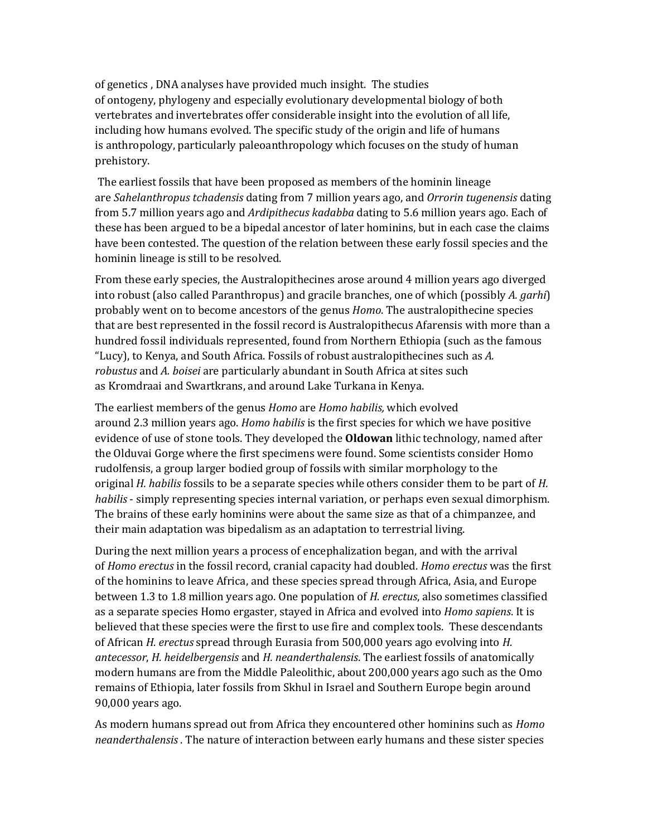of [genetics](http://en.wikipedia.org/wiki/Genetics) , DNA analyses have provided much insight. The studies of [ontogeny,](http://en.wikipedia.org/wiki/Ontogeny) [phylogeny](http://en.wikipedia.org/wiki/Phylogeny) and especially [evolutionary developmental biology](http://en.wikipedia.org/wiki/Evolutionary_developmental_biology) of both vertebrates and invertebrates offer considerable insight into the evolution of all life, including how humans evolved. The specific study of the origin and life of humans is [anthropology,](http://en.wikipedia.org/wiki/Anthropology) particularly [paleoanthropology](http://en.wikipedia.org/wiki/Paleoanthropology) which focuses on the study of human prehistory.

The earliest fossils that have been proposed as members of the hominin lineage are *[Sahelanthropus tchadensis](http://en.wikipedia.org/wiki/Sahelanthropus_tchadensis)* dating from [7](http://toolserver.org/~verisimilus/Timeline/Timeline.php?Ma=7) million years ago, and *[Orrorin tugenensis](http://en.wikipedia.org/wiki/Orrorin_tugenensis)* dating from [5.7](http://toolserver.org/~verisimilus/Timeline/Timeline.php?Ma=5.7) million years ago and *[Ardipithecus kadabba](http://en.wikipedia.org/wiki/Ardipithecus_kadabba)* dating to [5.6](http://toolserver.org/~verisimilus/Timeline/Timeline.php?Ma=5.6) million years ago. Each of these has been argued to be a [bipedal](http://en.wikipedia.org/wiki/Bipedal) ancestor of later hominins, but in each case the claims have been contested. The question of the relation between these early fossil species and the hominin lineage is still to be resolved.

From these early species, the [Australopithecines](http://en.wikipedia.org/wiki/Australopithecines) arose around [4](http://toolserver.org/~verisimilus/Timeline/Timeline.php?Ma=4) million years ago diverged into [robust](http://en.wikipedia.org/wiki/Robust_australopithecines) (also called [Paranthropus\)](http://en.wikipedia.org/wiki/Paranthropus) and [gracile](http://en.wikipedia.org/wiki/Gracile_australopithecines) branches, one of which (possibly *[A. garhi](http://en.wikipedia.org/wiki/Australopithecus_garhi)*) probably went on to become ancestors of the genus *Homo*. The australopithecine species that are best represented in the fossil record is [Australopithecus Afarensis](http://en.wikipedia.org/wiki/Australopithecus_Afarensis) with more than a hundred fossil individuals represented, found from Northern Ethiopia (such as the famous "Lucy), to Kenya, and South Africa. Fossils of robust australopithecines such as *A. robustus* and *A. boisei* are particularly abundant in South Africa at sites such as [Kromdraai](http://en.wikipedia.org/wiki/Kromdraai) and [Swartkrans,](http://en.wikipedia.org/wiki/Swartkrans) and aroun[d Lake Turkana](http://en.wikipedia.org/wiki/Lake_Turkana) in Kenya.

The earliest members of the genus *Homo* are *[Homo habilis,](http://en.wikipedia.org/wiki/Homo_habilis)* which evolved around [2.3](http://toolserver.org/~verisimilus/Timeline/Timeline.php?Ma=2.3) million years ago. *Homo habilis* is the first species for which we have positive evidence of use of [stone tools.](http://en.wikipedia.org/wiki/Stone_tools) They developed the **[Oldowan](http://en.wikipedia.org/wiki/Oldowan)** lithic technology, named after the [Olduvai Gorge](http://en.wikipedia.org/wiki/Olduvai_gorge) where the first specimens were found. Some scientists consider [Homo](http://en.wikipedia.org/wiki/Homo_rudolfensis)  [rudolfensis,](http://en.wikipedia.org/wiki/Homo_rudolfensis) a group larger bodied group of fossils with similar morphology to the original *H. habilis* fossils to be a separate species while others consider them to be part of *H. habilis* - simply representing species internal variation, or perhaps even [sexual dimorphism.](http://en.wikipedia.org/wiki/Sexual_dimorphism) The brains of these early hominins were about the same size as that of a chimpanzee, and their main adaptation was bipedalism as an adaptation to terrestrial living.

During the next million years a process of [encephalization](http://en.wikipedia.org/wiki/Encephalization) began, and with the arrival of *[Homo erectus](http://en.wikipedia.org/wiki/Homo_erectus)* in the fossil record, cranial capacity had doubled. *Homo erectus* was the first of the hominins to leave Africa, and these species spread through Africa, Asia, and Europe between [1.3](http://toolserver.org/~verisimilus/Timeline/Timeline.php?Ma=1.3%E2%80%931.8) to 1.8 million years ago. One population of *H. erectus*, also sometimes classified as a separate species [Homo ergaster,](http://en.wikipedia.org/wiki/Homo_ergaster) stayed in Africa and evolved into *Homo sapiens*. It is believed that these species were the first to use fire and complex tools. These descendants of African *H. erectus* spread through Eurasia from 500,000 years ago evolving into *[H.](http://en.wikipedia.org/wiki/Homo_antecessor)  [antecessor](http://en.wikipedia.org/wiki/Homo_antecessor)*, *[H. heidelbergensis](http://en.wikipedia.org/wiki/Homo_heidelbergensis)* and *[H. neanderthalensis](http://en.wikipedia.org/wiki/Homo_neanderthalensis)*. The earliest fossils of [anatomically](http://en.wikipedia.org/wiki/Anatomically_modern_humans)  [modern humans](http://en.wikipedia.org/wiki/Anatomically_modern_humans) are from the [Middle Paleolithic,](http://en.wikipedia.org/wiki/Middle_Paleolithic) about 200,000 years ago such as the [Omo](http://en.wikipedia.org/wiki/Omo_remains)  [remains](http://en.wikipedia.org/wiki/Omo_remains) of Ethiopia, later fossils from [Skhul](http://en.wikipedia.org/wiki/Skhul) in Israel and Southern Europe begin around 90,000 years ago.

As modern humans spread out from Africa they encountered other hominins such as *[Homo](http://en.wikipedia.org/wiki/Neanderthal)  [neanderthalensis](http://en.wikipedia.org/wiki/Neanderthal)* . The nature of interaction between early humans and these sister species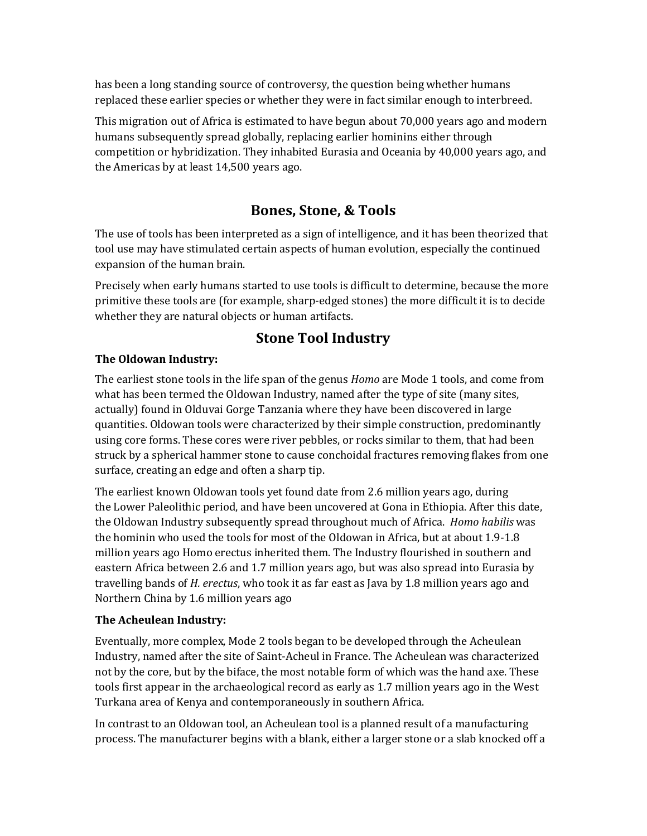has been a long standing source of controversy, the question being whether humans replaced these earlier species or whether they were in fact similar enough to interbreed.

This migration [out of Africa](http://en.wikipedia.org/wiki/Recent_African_origin_of_modern_humans) is estimated to have begun about 70,000 years ago and modern humans subsequently spread globally, replacing earlier hominins either through competition or hybridization. They inhabited [Eurasia](http://en.wikipedia.org/wiki/Eurasia) and [Oceania](http://en.wikipedia.org/wiki/Oceania) by 40,000 years ago, and the Americas by at least 14,500 years ago.

# **Bones, Stone, & Tools**

The use of tools has been interpreted as a sign of intelligence, and it has been theorized that tool use may have stimulated certain aspects of human evolution, especially the continued expansion of the human brain.

Precisely when early humans started to use tools is difficult to determine, because the more primitive these tools are (for example, sharp-edged stones) the more difficult it is to decide whether they are natural objects or human artifacts.

## **Stone Tool Industry**

## **The Oldowan Industry:**

The earliest stone tools in the life span of the genus *[Homo](http://en.wikipedia.org/wiki/Homo)* are [Mode 1](http://en.wikipedia.org/wiki/Mode_1) tools, and come from what has been termed the [Oldowan Industry,](http://en.wikipedia.org/wiki/Oldowan_Industry) named after the type of site (many sites, actually) found in [Olduvai Gorge](http://en.wikipedia.org/wiki/Olduvai_Gorge) [Tanzania](http://en.wikipedia.org/wiki/Tanzania) where they have been discovered in large quantities. Oldowan tools were characterized by their simple construction, predominantly using [core](http://en.wikipedia.org/wiki/Lithic_core) forms. These cores were river pebbles, or rocks similar to them, that had been struck by a spherical [hammer stone](http://en.wikipedia.org/wiki/Hammerstone) to cause [conchoidal fractures](http://en.wikipedia.org/wiki/Conchoidal_fracture) removing flakes from one surface, creating an edge and often a sharp tip.

The earliest known Oldowan tools yet found date from 2.6 million years ago, during the [Lower Paleolithic](http://en.wikipedia.org/wiki/Lower_Palaeolithic) period, and have been uncovered at [Gona](http://en.wikipedia.org/wiki/Gona) in [Ethiopia.](http://en.wikipedia.org/wiki/Ethiopia) After this date, the Oldowan Industry subsequently spread throughout much of Africa. *Homo habilis* was the hominin who used the tools for most of the Oldowan in Africa, but at about 1.9-1.8 million years ago [Homo erectus](http://en.wikipedia.org/wiki/Homo_erectus) inherited them. The Industry flourished in southern and eastern Africa between 2.6 and 1.7 million years ago, but was also spread into [Eurasia](http://en.wikipedia.org/wiki/Eurasia) by travelling bands of *H. erectus*, who took it as far east as [Java](http://en.wikipedia.org/wiki/Java) by 1.8 million years ago and Northern China by 1.6 million years ago

### **The Acheulean Industry:**

Eventually, more complex, Mode 2 tools began to be developed through the [Acheulean](http://en.wikipedia.org/wiki/Acheulean_Industry)  [Industry,](http://en.wikipedia.org/wiki/Acheulean_Industry) named after the site of [Saint-Acheul](http://en.wikipedia.org/wiki/Saint-Acheul_(Amiens)) in France. The Acheulean was characterized not by the core, but by the [biface,](http://en.wikipedia.org/wiki/Biface) the most notable form of which was the [hand axe.](http://en.wikipedia.org/wiki/Hand_axe) These tools first appear in the archaeological record as early as 1.7 million years ago in the [West](http://en.wikipedia.org/wiki/West_Turkana)  [Turkana](http://en.wikipedia.org/wiki/West_Turkana) area of [Kenya](http://en.wikipedia.org/wiki/Kenya) and contemporaneously in southern Africa.

In contrast to an Oldowan tool, an Acheulean tool is a planned result of a manufacturing process. The manufacturer begins with a blank, either a larger stone or a slab knocked off a